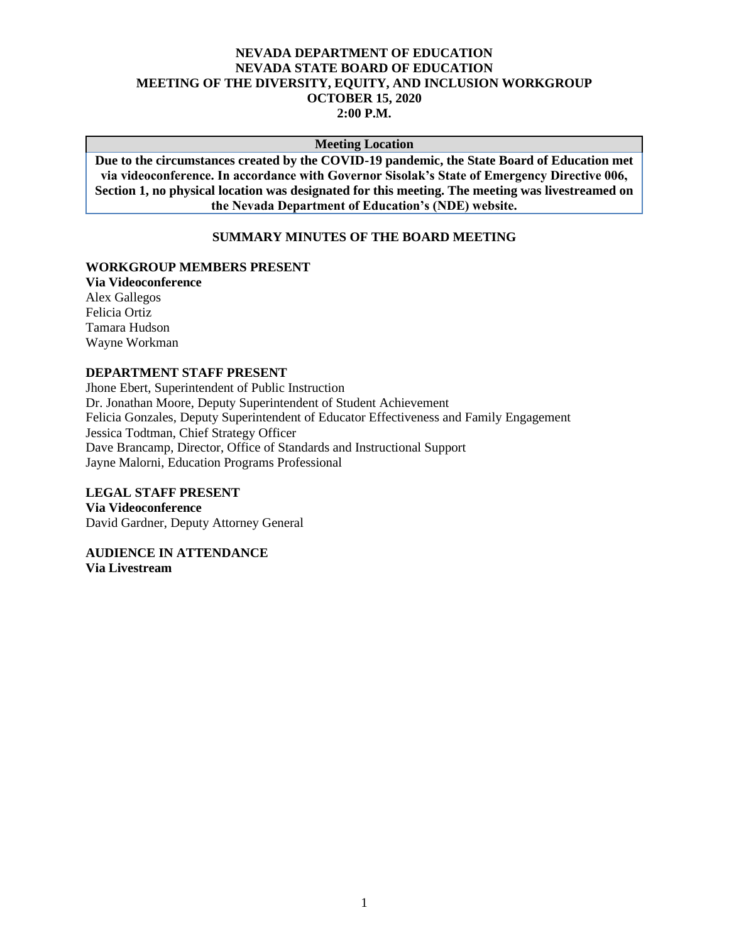## **NEVADA DEPARTMENT OF EDUCATION NEVADA STATE BOARD OF EDUCATION MEETING OF THE DIVERSITY, EQUITY, AND INCLUSION WORKGROUP OCTOBER 15, 2020 2:00 P.M.**

#### **Meeting Location**

**Due to the circumstances created by the COVID-19 pandemic, the State Board of Education met via videoconference. In accordance with Governor Sisolak's State of Emergency Directive 006, Section 1, no physical location was designated for this meeting. The meeting was livestreamed on the Nevada Department of Education's (NDE) website.**

#### **SUMMARY MINUTES OF THE BOARD MEETING**

#### **WORKGROUP MEMBERS PRESENT**

**Via Videoconference** Alex Gallegos Felicia Ortiz Tamara Hudson Wayne Workman

#### **DEPARTMENT STAFF PRESENT**

Jhone Ebert, Superintendent of Public Instruction Dr. Jonathan Moore, Deputy Superintendent of Student Achievement Felicia Gonzales, Deputy Superintendent of Educator Effectiveness and Family Engagement Jessica Todtman, Chief Strategy Officer Dave Brancamp, Director, Office of Standards and Instructional Support Jayne Malorni, Education Programs Professional

# **LEGAL STAFF PRESENT**

**Via Videoconference** David Gardner, Deputy Attorney General

**AUDIENCE IN ATTENDANCE Via Livestream**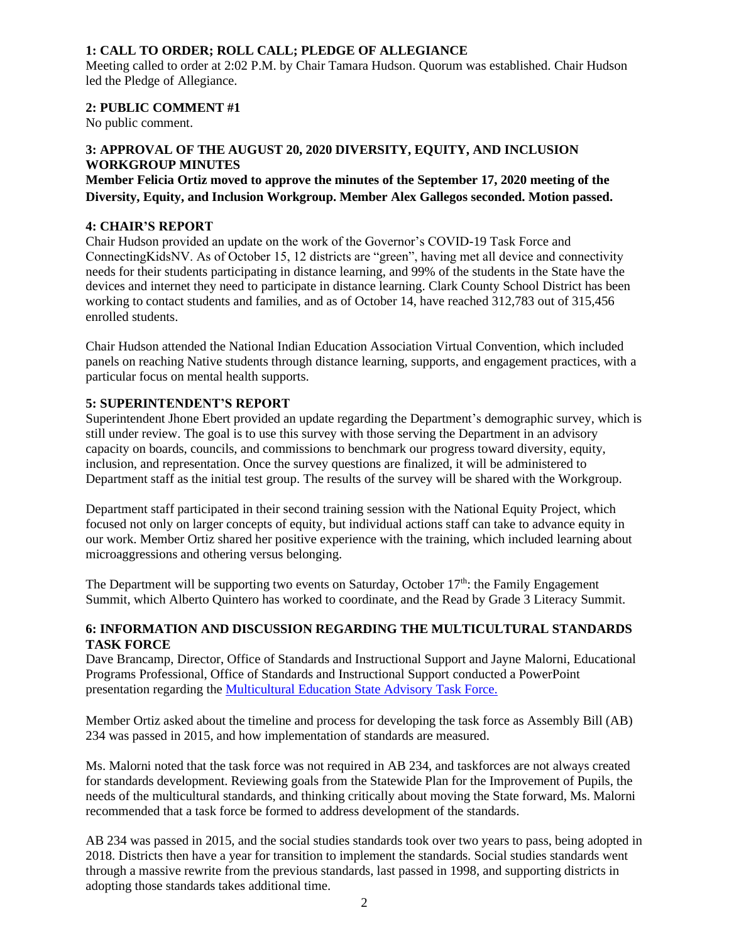# **1: CALL TO ORDER; ROLL CALL; PLEDGE OF ALLEGIANCE**

Meeting called to order at 2:02 P.M. by Chair Tamara Hudson. Quorum was established. Chair Hudson led the Pledge of Allegiance.

## **2: PUBLIC COMMENT #1**

No public comment.

## **3: APPROVAL OF THE AUGUST 20, 2020 DIVERSITY, EQUITY, AND INCLUSION WORKGROUP MINUTES**

# **Member Felicia Ortiz moved to approve the minutes of the September 17, 2020 meeting of the Diversity, Equity, and Inclusion Workgroup. Member Alex Gallegos seconded. Motion passed.**

## **4: CHAIR'S REPORT**

Chair Hudson provided an update on the work of the Governor's COVID-19 Task Force and ConnectingKidsNV. As of October 15, 12 districts are "green", having met all device and connectivity needs for their students participating in distance learning, and 99% of the students in the State have the devices and internet they need to participate in distance learning. Clark County School District has been working to contact students and families, and as of October 14, have reached 312,783 out of 315,456 enrolled students.

Chair Hudson attended the National Indian Education Association Virtual Convention, which included panels on reaching Native students through distance learning, supports, and engagement practices, with a particular focus on mental health supports.

## **5: SUPERINTENDENT'S REPORT**

Superintendent Jhone Ebert provided an update regarding the Department's demographic survey, which is still under review. The goal is to use this survey with those serving the Department in an advisory capacity on boards, councils, and commissions to benchmark our progress toward diversity, equity, inclusion, and representation. Once the survey questions are finalized, it will be administered to Department staff as the initial test group. The results of the survey will be shared with the Workgroup.

Department staff participated in their second training session with the National Equity Project, which focused not only on larger concepts of equity, but individual actions staff can take to advance equity in our work. Member Ortiz shared her positive experience with the training, which included learning about microaggressions and othering versus belonging.

The Department will be supporting two events on Saturday, October  $17<sup>th</sup>$ : the Family Engagement Summit, which Alberto Quintero has worked to coordinate, and the Read by Grade 3 Literacy Summit.

## **6: INFORMATION AND DISCUSSION REGARDING THE MULTICULTURAL STANDARDS TASK FORCE**

Dave Brancamp, Director, Office of Standards and Instructional Support and Jayne Malorni, Educational Programs Professional, Office of Standards and Instructional Support conducted a PowerPoint presentation regarding the [Multicultural Education State Advisory Task Force.](http://www.doe.nv.gov/uploadedFiles/ndedoenvgov/content/Boards_Commissions_Councils/State_Board_of_Education/2020/October/DEIpresentation.pdf)

Member Ortiz asked about the timeline and process for developing the task force as Assembly Bill (AB) 234 was passed in 2015, and how implementation of standards are measured.

Ms. Malorni noted that the task force was not required in AB 234, and taskforces are not always created for standards development. Reviewing goals from the Statewide Plan for the Improvement of Pupils, the needs of the multicultural standards, and thinking critically about moving the State forward, Ms. Malorni recommended that a task force be formed to address development of the standards.

AB 234 was passed in 2015, and the social studies standards took over two years to pass, being adopted in 2018. Districts then have a year for transition to implement the standards. Social studies standards went through a massive rewrite from the previous standards, last passed in 1998, and supporting districts in adopting those standards takes additional time.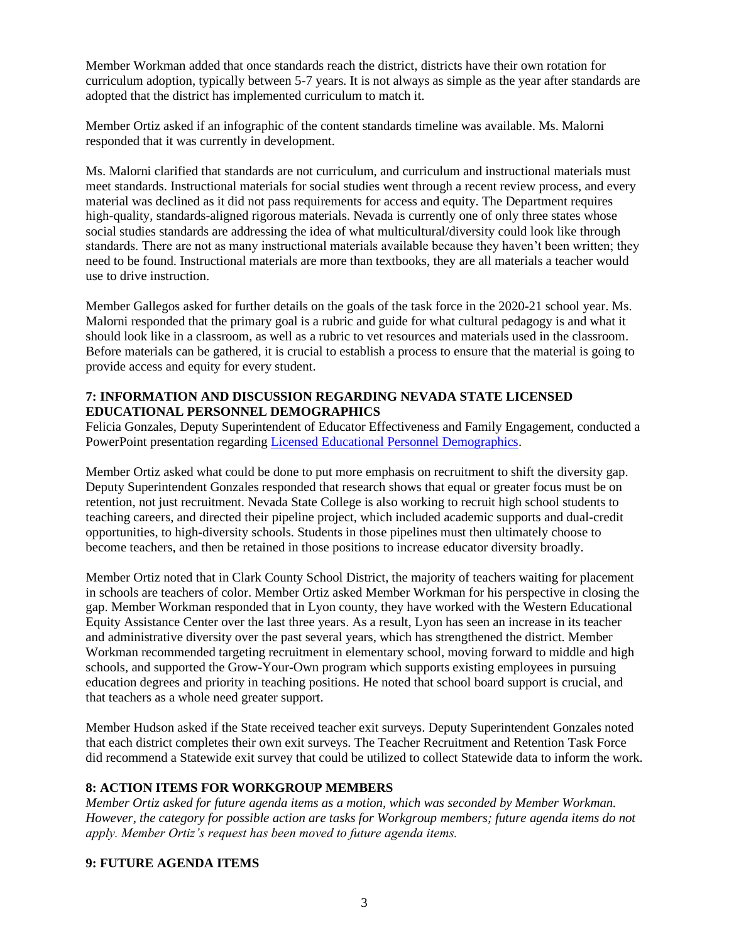Member Workman added that once standards reach the district, districts have their own rotation for curriculum adoption, typically between 5-7 years. It is not always as simple as the year after standards are adopted that the district has implemented curriculum to match it.

Member Ortiz asked if an infographic of the content standards timeline was available. Ms. Malorni responded that it was currently in development.

Ms. Malorni clarified that standards are not curriculum, and curriculum and instructional materials must meet standards. Instructional materials for social studies went through a recent review process, and every material was declined as it did not pass requirements for access and equity. The Department requires high-quality, standards-aligned rigorous materials. Nevada is currently one of only three states whose social studies standards are addressing the idea of what multicultural/diversity could look like through standards. There are not as many instructional materials available because they haven't been written; they need to be found. Instructional materials are more than textbooks, they are all materials a teacher would use to drive instruction.

Member Gallegos asked for further details on the goals of the task force in the 2020-21 school year. Ms. Malorni responded that the primary goal is a rubric and guide for what cultural pedagogy is and what it should look like in a classroom, as well as a rubric to vet resources and materials used in the classroom. Before materials can be gathered, it is crucial to establish a process to ensure that the material is going to provide access and equity for every student.

#### **7: INFORMATION AND DISCUSSION REGARDING NEVADA STATE LICENSED EDUCATIONAL PERSONNEL DEMOGRAPHICS**

Felicia Gonzales, Deputy Superintendent of Educator Effectiveness and Family Engagement, conducted a PowerPoint presentation regarding [Licensed Educational Personnel Demographics.](http://www.doe.nv.gov/uploadedFiles/ndedoenvgov/content/Boards_Commissions_Councils/State_Board_of_Education/2020/October/DEIPresentationonEducatorDiversity.pdf)

Member Ortiz asked what could be done to put more emphasis on recruitment to shift the diversity gap. Deputy Superintendent Gonzales responded that research shows that equal or greater focus must be on retention, not just recruitment. Nevada State College is also working to recruit high school students to teaching careers, and directed their pipeline project, which included academic supports and dual-credit opportunities, to high-diversity schools. Students in those pipelines must then ultimately choose to become teachers, and then be retained in those positions to increase educator diversity broadly.

Member Ortiz noted that in Clark County School District, the majority of teachers waiting for placement in schools are teachers of color. Member Ortiz asked Member Workman for his perspective in closing the gap. Member Workman responded that in Lyon county, they have worked with the Western Educational Equity Assistance Center over the last three years. As a result, Lyon has seen an increase in its teacher and administrative diversity over the past several years, which has strengthened the district. Member Workman recommended targeting recruitment in elementary school, moving forward to middle and high schools, and supported the Grow-Your-Own program which supports existing employees in pursuing education degrees and priority in teaching positions. He noted that school board support is crucial, and that teachers as a whole need greater support.

Member Hudson asked if the State received teacher exit surveys. Deputy Superintendent Gonzales noted that each district completes their own exit surveys. The Teacher Recruitment and Retention Task Force did recommend a Statewide exit survey that could be utilized to collect Statewide data to inform the work.

# **8: ACTION ITEMS FOR WORKGROUP MEMBERS**

*Member Ortiz asked for future agenda items as a motion, which was seconded by Member Workman. However, the category for possible action are tasks for Workgroup members; future agenda items do not apply. Member Ortiz's request has been moved to future agenda items.* 

## **9: FUTURE AGENDA ITEMS**